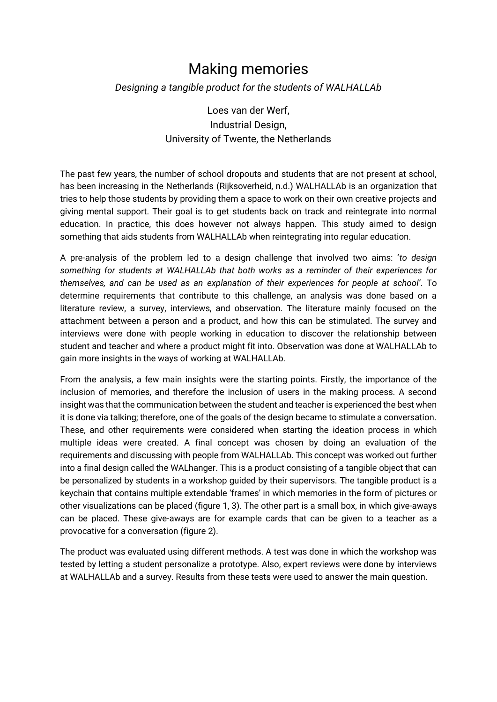## Making memories

*Designing a tangible product for the students of WALHALLAb*

Loes van der Werf, Industrial Design, University of Twente, the Netherlands

The past few years, the number of school dropouts and students that are not present at school, has been increasing in the Netherlands (Rijksoverheid, n.d.) WALHALLAb is an organization that tries to help those students by providing them a space to work on their own creative projects and giving mental support. Their goal is to get students back on track and reintegrate into normal education. In practice, this does however not always happen. This study aimed to design something that aids students from WALHALLAb when reintegrating into regular education.

A pre-analysis of the problem led to a design challenge that involved two aims: '*to design something for students at WALHALLAb that both works as a reminder of their experiences for themselves, and can be used as an explanation of their experiences for people at school'*. To determine requirements that contribute to this challenge, an analysis was done based on a literature review, a survey, interviews, and observation. The literature mainly focused on the attachment between a person and a product, and how this can be stimulated. The survey and interviews were done with people working in education to discover the relationship between student and teacher and where a product might fit into. Observation was done at WALHALLAb to gain more insights in the ways of working at WALHALLAb.

From the analysis, a few main insights were the starting points. Firstly, the importance of the inclusion of memories, and therefore the inclusion of users in the making process. A second insight was that the communication between the student and teacher is experienced the best when it is done via talking; therefore, one of the goals of the design became to stimulate a conversation. These, and other requirements were considered when starting the ideation process in which multiple ideas were created. A final concept was chosen by doing an evaluation of the requirements and discussing with people from WALHALLAb. This concept was worked out further into a final design called the WALhanger. This is a product consisting of a tangible object that can be personalized by students in a workshop guided by their supervisors. The tangible product is a keychain that contains multiple extendable 'frames' in which memories in the form of pictures or other visualizations can be placed (figure 1, 3). The other part is a small box, in which give-aways can be placed. These give-aways are for example cards that can be given to a teacher as a provocative for a conversation (figure 2).

The product was evaluated using different methods. A test was done in which the workshop was tested by letting a student personalize a prototype. Also, expert reviews were done by interviews at WALHALLAb and a survey. Results from these tests were used to answer the main question.